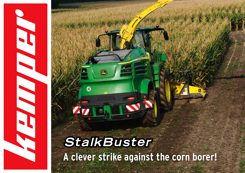# **StalkBuster A clever strike against the corn borer!**

 $\omega$ 

**CONSTRUCTION**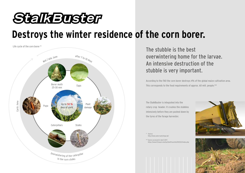## StalkBuster

### **Destroys the winter residence of the corn borer.**



The stubble is the best overwintering home for the larvae. An intensive destruction of the stubble is very important.

According to the FAO the corn borer destroys 4% of the global maize cultivation area. This corresponds to the food requirements of approx. 60 mill. people.\*\*

The StalkBuster is integrated into the rotary crop header. It crushes the stubbles intensively before they are pushed down by the tyres of the forage harvester.



\* Source: http://www.amw-nuetzlinge.de/

\*\* Source accessed in April 2017: https://www.lfl.bayern.de/ins/blattfruechte/030323/index.php

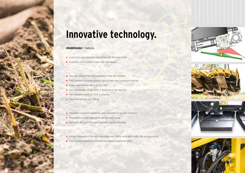### **Innovative technology.**

#### **StalkBuster** - features:

- A part-turn gear has been integrated into the main frame
- A ratchet clutch protects each unit individually
- $\blacksquare$  Specially shaped flails to completely crush the stubbles
- Flail change in seconds without special tools due to polygon gearing
- Power requirement only 4 hp per row
- **Fast disassembly of the hood, if mulching is not required**
- $\blacksquare$  The transport width of 3.3 m is retained
- Additional weight only 350 kg
- **Pheumatic pressure system for soft adaptation to ground contours**
- $\blacksquare$  Pneumatic cylinder integrated into the base frame
- Automatic lifting of the mulching units during reversing
- Contact pressure of the units adjustable via control valve with hardly any ground contact
- **Exact ground adaptation through individually suspended units**